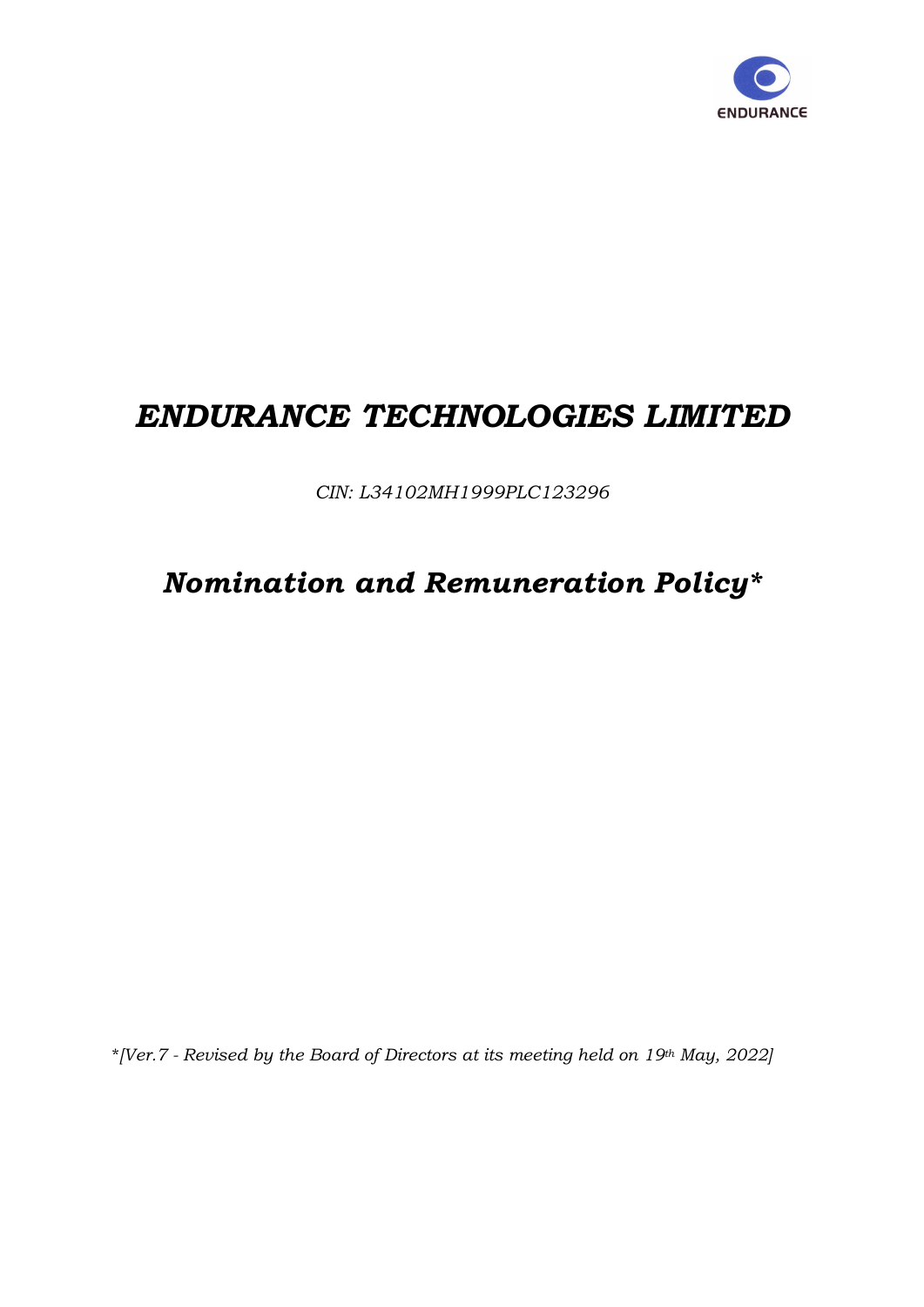

# ENDURANCE TECHNOLOGIES LIMITED

CIN: L34102MH1999PLC123296

# Nomination and Remuneration Policy\*

\*[Ver.7 - Revised by the Board of Directors at its meeting held on 19th May, 2022]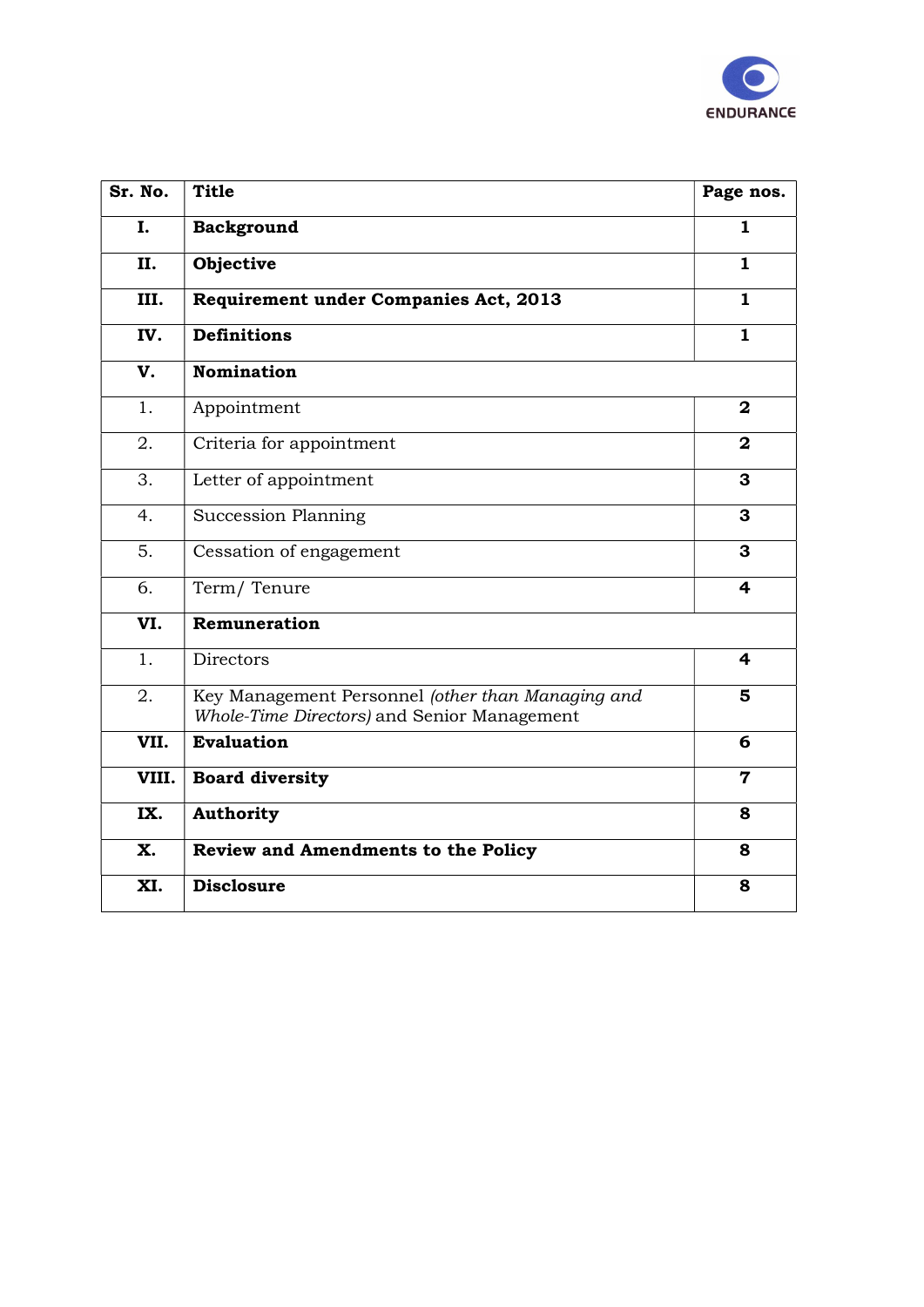

| Sr. No. | <b>Title</b>                                                                                     | Page nos.               |
|---------|--------------------------------------------------------------------------------------------------|-------------------------|
| I.      | <b>Background</b>                                                                                | $\mathbf{1}$            |
| II.     | Objective                                                                                        | $\mathbf{1}$            |
| III.    | Requirement under Companies Act, 2013                                                            | $\mathbf{1}$            |
| IV.     | <b>Definitions</b>                                                                               | $\mathbf{1}$            |
| V.      | <b>Nomination</b>                                                                                |                         |
| 1.      | Appointment                                                                                      | $\mathbf{2}$            |
| 2.      | Criteria for appointment                                                                         | $\mathbf{2}$            |
| 3.      | Letter of appointment                                                                            | 3                       |
| 4.      | <b>Succession Planning</b>                                                                       | $\overline{\mathbf{3}}$ |
| 5.      | Cessation of engagement                                                                          | 3                       |
| 6.      | Term/Tenure                                                                                      | 4                       |
| VI.     | Remuneration                                                                                     |                         |
| 1.      | <b>Directors</b>                                                                                 | 4                       |
| 2.      | Key Management Personnel (other than Managing and<br>Whole-Time Directors) and Senior Management | 5                       |
| VII.    | <b>Evaluation</b>                                                                                | 6                       |
| VIII.   | <b>Board diversity</b>                                                                           | $\overline{\mathbf{7}}$ |
| IX.     | <b>Authority</b>                                                                                 | 8                       |
| X.      | Review and Amendments to the Policy                                                              | 8                       |
| XI.     | <b>Disclosure</b>                                                                                | 8                       |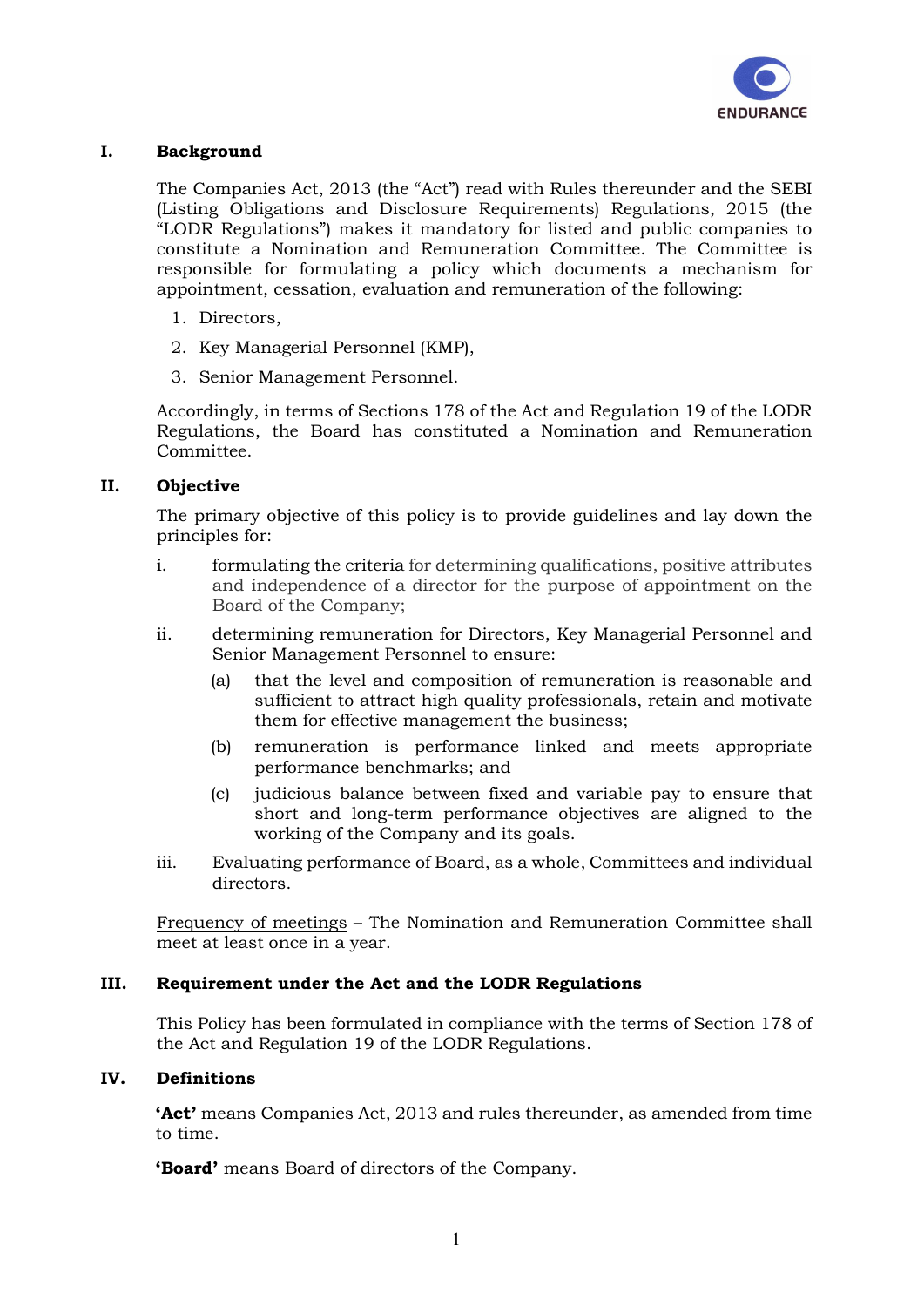

# I. Background

The Companies Act, 2013 (the "Act") read with Rules thereunder and the SEBI (Listing Obligations and Disclosure Requirements) Regulations, 2015 (the "LODR Regulations") makes it mandatory for listed and public companies to constitute a Nomination and Remuneration Committee. The Committee is responsible for formulating a policy which documents a mechanism for appointment, cessation, evaluation and remuneration of the following:

- 1. Directors,
- 2. Key Managerial Personnel (KMP),
- 3. Senior Management Personnel.

Accordingly, in terms of Sections 178 of the Act and Regulation 19 of the LODR Regulations, the Board has constituted a Nomination and Remuneration Committee.

# II. Objective

The primary objective of this policy is to provide guidelines and lay down the principles for:

- i. formulating the criteria for determining qualifications, positive attributes and independence of a director for the purpose of appointment on the Board of the Company;
- ii. determining remuneration for Directors, Key Managerial Personnel and Senior Management Personnel to ensure:
	- (a) that the level and composition of remuneration is reasonable and sufficient to attract high quality professionals, retain and motivate them for effective management the business;
	- (b) remuneration is performance linked and meets appropriate performance benchmarks; and
	- (c) judicious balance between fixed and variable pay to ensure that short and long-term performance objectives are aligned to the working of the Company and its goals.
- iii. Evaluating performance of Board, as a whole, Committees and individual directors.

Frequency of meetings – The Nomination and Remuneration Committee shall meet at least once in a year.

# III. Requirement under the Act and the LODR Regulations

This Policy has been formulated in compliance with the terms of Section 178 of the Act and Regulation 19 of the LODR Regulations.

# IV. Definitions

'Act' means Companies Act, 2013 and rules thereunder, as amended from time to time.

'Board' means Board of directors of the Company.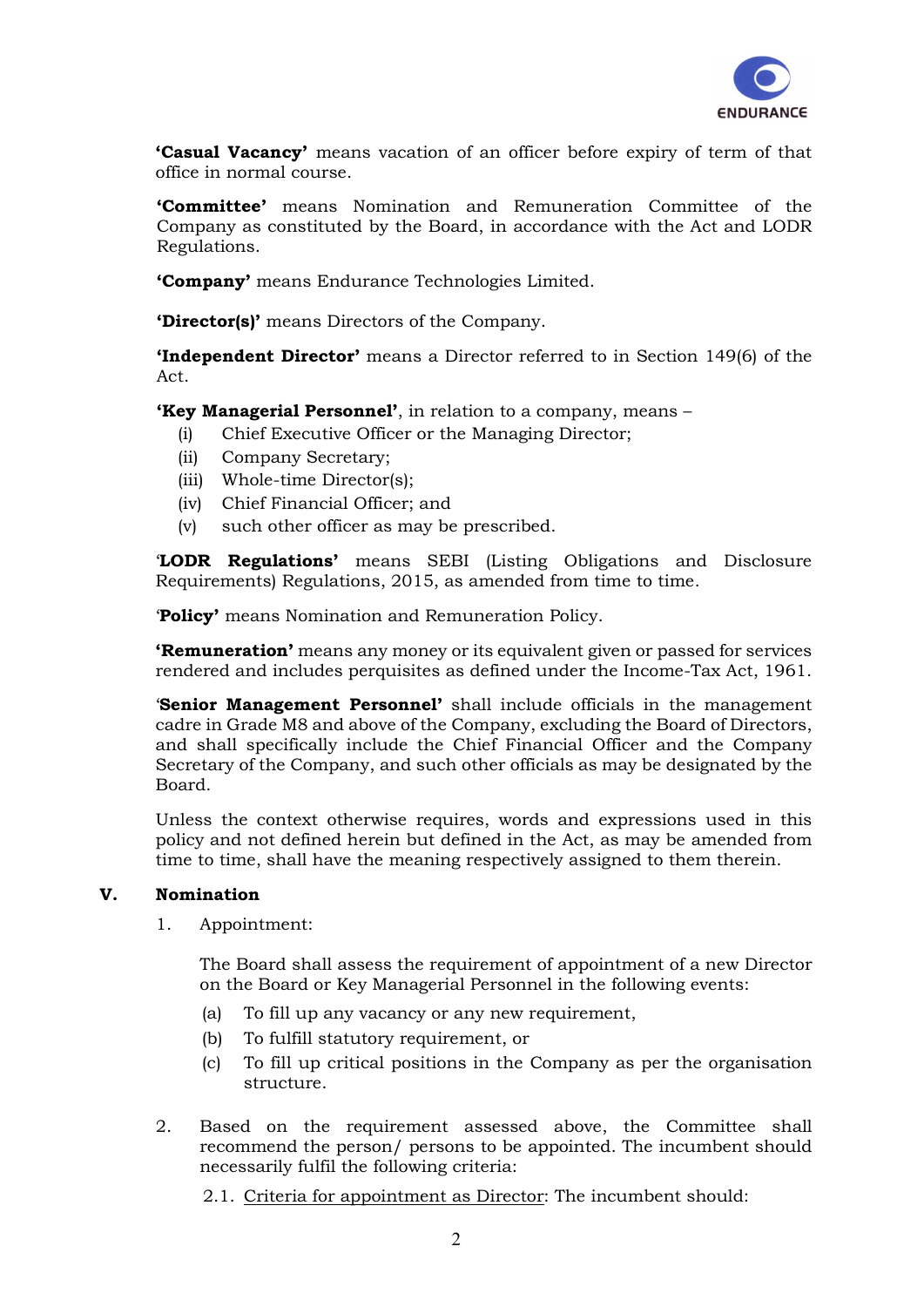

'Casual Vacancy' means vacation of an officer before expiry of term of that office in normal course.

'Committee' means Nomination and Remuneration Committee of the Company as constituted by the Board, in accordance with the Act and LODR Regulations.

'Company' means Endurance Technologies Limited.

'Director(s)' means Directors of the Company.

**'Independent Director'** means a Director referred to in Section 149(6) of the Act.

'Key Managerial Personnel', in relation to a company, means –

- (i) Chief Executive Officer or the Managing Director;
- (ii) Company Secretary;
- (iii) Whole-time Director(s);
- (iv) Chief Financial Officer; and
- (v) such other officer as may be prescribed.

'LODR Regulations' means SEBI (Listing Obligations and Disclosure Requirements) Regulations, 2015, as amended from time to time.

'Policy' means Nomination and Remuneration Policy.

**'Remuneration'** means any money or its equivalent given or passed for services rendered and includes perquisites as defined under the Income-Tax Act, 1961.

**Senior Management Personnel'** shall include officials in the management cadre in Grade M8 and above of the Company, excluding the Board of Directors, and shall specifically include the Chief Financial Officer and the Company Secretary of the Company, and such other officials as may be designated by the Board.

Unless the context otherwise requires, words and expressions used in this policy and not defined herein but defined in the Act, as may be amended from time to time, shall have the meaning respectively assigned to them therein.

# V. Nomination

1. Appointment:

The Board shall assess the requirement of appointment of a new Director on the Board or Key Managerial Personnel in the following events:

- (a) To fill up any vacancy or any new requirement,
- (b) To fulfill statutory requirement, or
- (c) To fill up critical positions in the Company as per the organisation structure.
- 2. Based on the requirement assessed above, the Committee shall recommend the person/ persons to be appointed. The incumbent should necessarily fulfil the following criteria:

2.1. Criteria for appointment as Director: The incumbent should: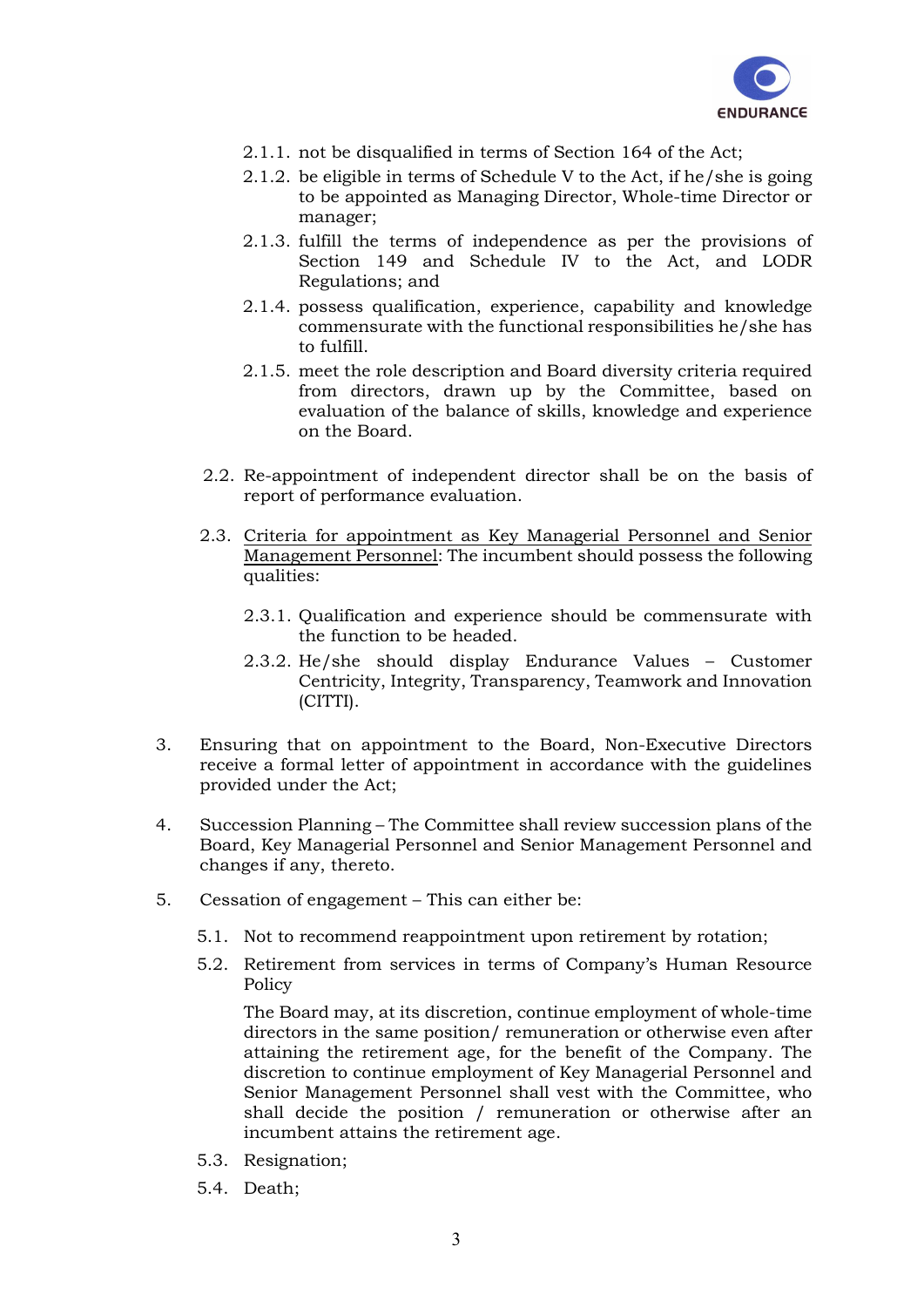

- 2.1.1. not be disqualified in terms of Section 164 of the Act;
- 2.1.2. be eligible in terms of Schedule V to the Act, if he/she is going to be appointed as Managing Director, Whole-time Director or manager;
- 2.1.3. fulfill the terms of independence as per the provisions of Section 149 and Schedule IV to the Act, and LODR Regulations; and
- 2.1.4. possess qualification, experience, capability and knowledge commensurate with the functional responsibilities he/she has to fulfill.
- 2.1.5. meet the role description and Board diversity criteria required from directors, drawn up by the Committee, based on evaluation of the balance of skills, knowledge and experience on the Board.
- 2.2. Re-appointment of independent director shall be on the basis of report of performance evaluation.
- 2.3. Criteria for appointment as Key Managerial Personnel and Senior Management Personnel: The incumbent should possess the following qualities:
	- 2.3.1. Qualification and experience should be commensurate with the function to be headed.
	- 2.3.2. He/she should display Endurance Values Customer Centricity, Integrity, Transparency, Teamwork and Innovation (CITTI).
- 3. Ensuring that on appointment to the Board, Non-Executive Directors receive a formal letter of appointment in accordance with the guidelines provided under the Act;
- 4. Succession Planning The Committee shall review succession plans of the Board, Key Managerial Personnel and Senior Management Personnel and changes if any, thereto.
- 5. Cessation of engagement This can either be:
	- 5.1. Not to recommend reappointment upon retirement by rotation;
	- 5.2. Retirement from services in terms of Company's Human Resource Policy

The Board may, at its discretion, continue employment of whole-time directors in the same position/ remuneration or otherwise even after attaining the retirement age, for the benefit of the Company. The discretion to continue employment of Key Managerial Personnel and Senior Management Personnel shall vest with the Committee, who shall decide the position / remuneration or otherwise after an incumbent attains the retirement age.

- 5.3. Resignation;
- 5.4. Death;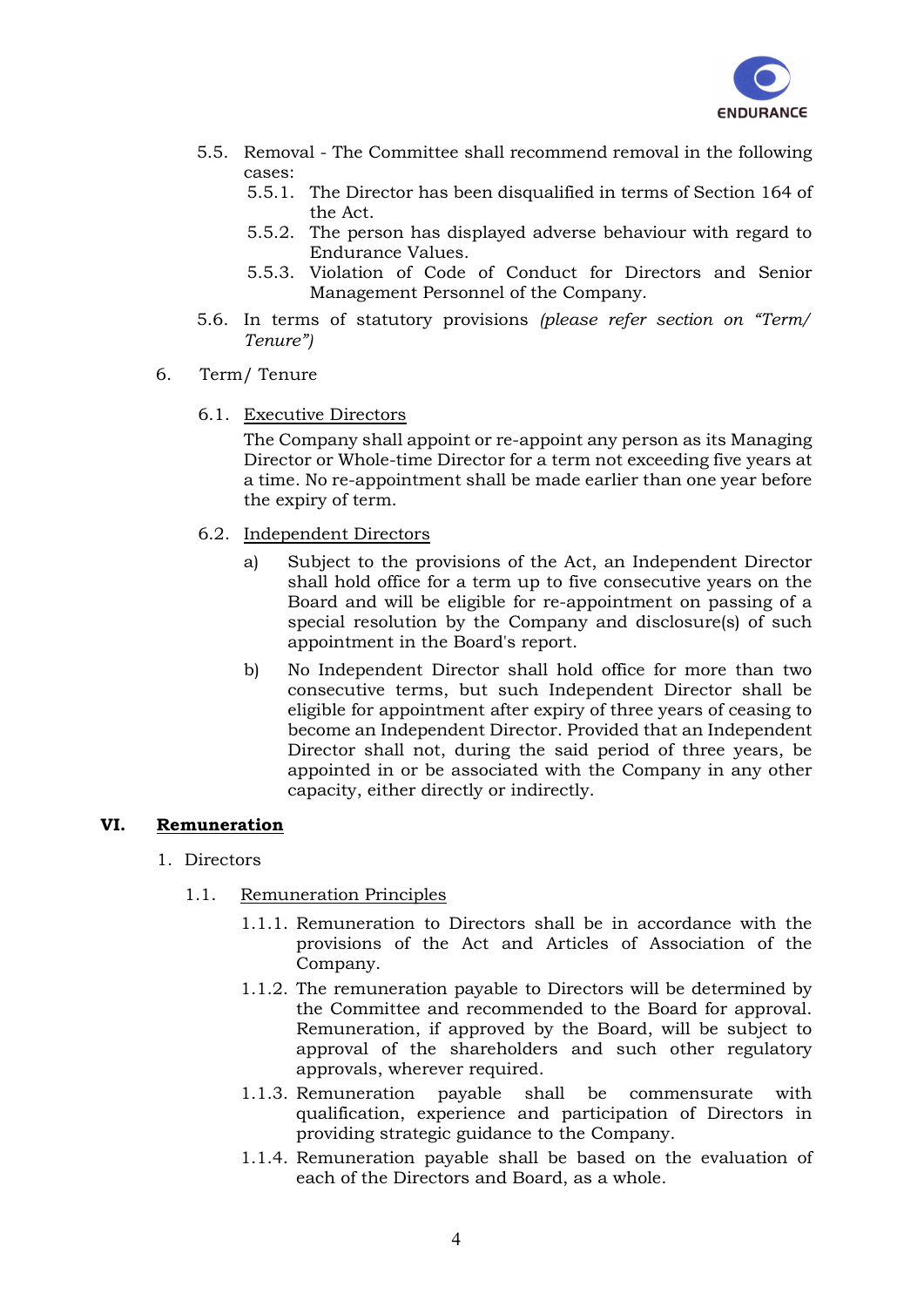

- 5.5. Removal The Committee shall recommend removal in the following cases:
	- 5.5.1. The Director has been disqualified in terms of Section 164 of the Act.
	- 5.5.2. The person has displayed adverse behaviour with regard to Endurance Values.
	- 5.5.3. Violation of Code of Conduct for Directors and Senior Management Personnel of the Company.
- 5.6. In terms of statutory provisions (please refer section on "Term/ Tenure")
- 6. Term/ Tenure
	- 6.1. Executive Directors

The Company shall appoint or re-appoint any person as its Managing Director or Whole-time Director for a term not exceeding five years at a time. No re-appointment shall be made earlier than one year before the expiry of term.

- 6.2. Independent Directors
	- a) Subject to the provisions of the Act, an Independent Director shall hold office for a term up to five consecutive years on the Board and will be eligible for re-appointment on passing of a special resolution by the Company and disclosure(s) of such appointment in the Board's report.
	- b) No Independent Director shall hold office for more than two consecutive terms, but such Independent Director shall be eligible for appointment after expiry of three years of ceasing to become an Independent Director. Provided that an Independent Director shall not, during the said period of three years, be appointed in or be associated with the Company in any other capacity, either directly or indirectly.

#### VI. Remuneration

#### 1. Directors

- 1.1. Remuneration Principles
	- 1.1.1. Remuneration to Directors shall be in accordance with the provisions of the Act and Articles of Association of the Company.
	- 1.1.2. The remuneration payable to Directors will be determined by the Committee and recommended to the Board for approval. Remuneration, if approved by the Board, will be subject to approval of the shareholders and such other regulatory approvals, wherever required.
	- 1.1.3. Remuneration payable shall be commensurate with qualification, experience and participation of Directors in providing strategic guidance to the Company.
	- 1.1.4. Remuneration payable shall be based on the evaluation of each of the Directors and Board, as a whole.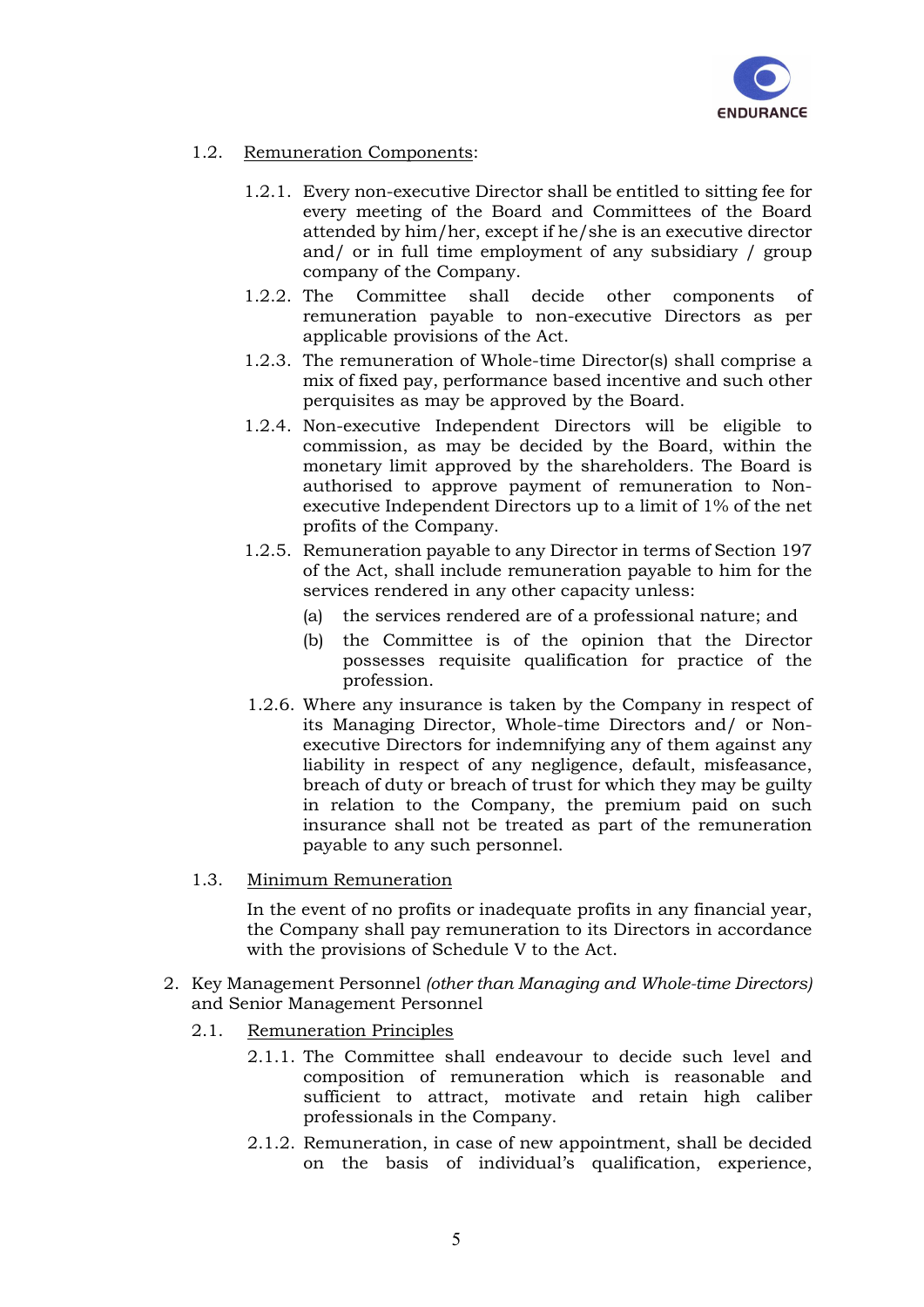

# 1.2. Remuneration Components:

- 1.2.1. Every non-executive Director shall be entitled to sitting fee for every meeting of the Board and Committees of the Board attended by him/her, except if he/she is an executive director and/ or in full time employment of any subsidiary / group company of the Company.
- 1.2.2. The Committee shall decide other components of remuneration payable to non-executive Directors as per applicable provisions of the Act.
- 1.2.3. The remuneration of Whole-time Director(s) shall comprise a mix of fixed pay, performance based incentive and such other perquisites as may be approved by the Board.
- 1.2.4. Non-executive Independent Directors will be eligible to commission, as may be decided by the Board, within the monetary limit approved by the shareholders. The Board is authorised to approve payment of remuneration to Nonexecutive Independent Directors up to a limit of 1% of the net profits of the Company.
- 1.2.5. Remuneration payable to any Director in terms of Section 197 of the Act, shall include remuneration payable to him for the services rendered in any other capacity unless:
	- (a) the services rendered are of a professional nature; and
	- (b) the Committee is of the opinion that the Director possesses requisite qualification for practice of the profession.
- 1.2.6. Where any insurance is taken by the Company in respect of its Managing Director, Whole-time Directors and/ or Nonexecutive Directors for indemnifying any of them against any liability in respect of any negligence, default, misfeasance, breach of duty or breach of trust for which they may be guilty in relation to the Company, the premium paid on such insurance shall not be treated as part of the remuneration payable to any such personnel.
- 1.3. Minimum Remuneration

In the event of no profits or inadequate profits in any financial year, the Company shall pay remuneration to its Directors in accordance with the provisions of Schedule V to the Act.

- 2. Key Management Personnel (other than Managing and Whole-time Directors) and Senior Management Personnel
	- 2.1. Remuneration Principles
		- 2.1.1. The Committee shall endeavour to decide such level and composition of remuneration which is reasonable and sufficient to attract, motivate and retain high caliber professionals in the Company.
		- 2.1.2. Remuneration, in case of new appointment, shall be decided on the basis of individual's qualification, experience,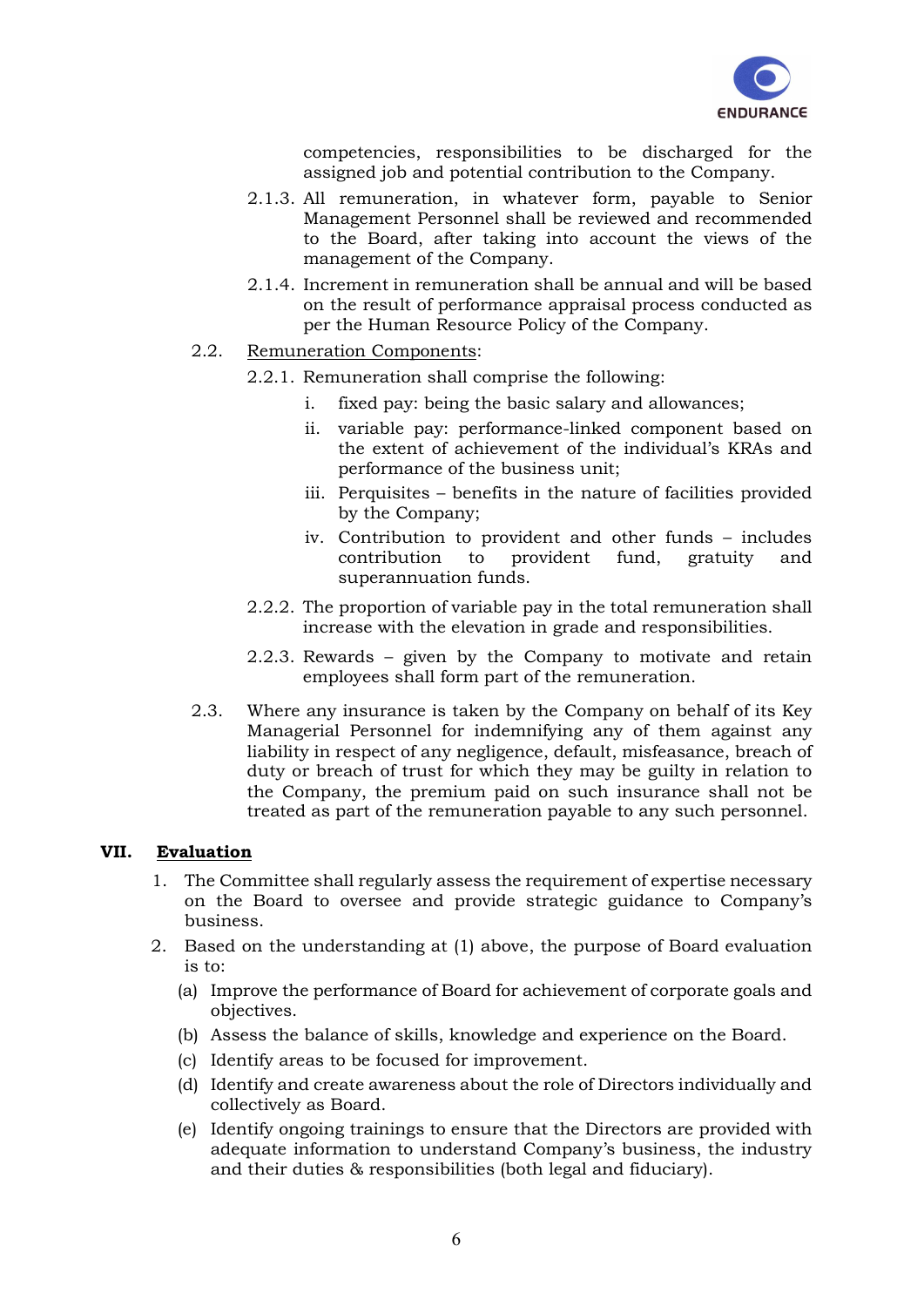

competencies, responsibilities to be discharged for the assigned job and potential contribution to the Company.

- 2.1.3. All remuneration, in whatever form, payable to Senior Management Personnel shall be reviewed and recommended to the Board, after taking into account the views of the management of the Company.
- 2.1.4. Increment in remuneration shall be annual and will be based on the result of performance appraisal process conducted as per the Human Resource Policy of the Company.
- 2.2. Remuneration Components:
	- 2.2.1. Remuneration shall comprise the following:
		- i. fixed pay: being the basic salary and allowances;
		- ii. variable pay: performance-linked component based on the extent of achievement of the individual's KRAs and performance of the business unit;
		- iii. Perquisites benefits in the nature of facilities provided by the Company;
		- iv. Contribution to provident and other funds includes contribution to provident fund, gratuity and superannuation funds.
	- 2.2.2. The proportion of variable pay in the total remuneration shall increase with the elevation in grade and responsibilities.
	- 2.2.3. Rewards given by the Company to motivate and retain employees shall form part of the remuneration.
- 2.3. Where any insurance is taken by the Company on behalf of its Key Managerial Personnel for indemnifying any of them against any liability in respect of any negligence, default, misfeasance, breach of duty or breach of trust for which they may be guilty in relation to the Company, the premium paid on such insurance shall not be treated as part of the remuneration payable to any such personnel.

# VII. Evaluation

- 1. The Committee shall regularly assess the requirement of expertise necessary on the Board to oversee and provide strategic guidance to Company's business.
- 2. Based on the understanding at (1) above, the purpose of Board evaluation is to:
	- (a) Improve the performance of Board for achievement of corporate goals and objectives.
	- (b) Assess the balance of skills, knowledge and experience on the Board.
	- (c) Identify areas to be focused for improvement.
	- (d) Identify and create awareness about the role of Directors individually and collectively as Board.
	- (e) Identify ongoing trainings to ensure that the Directors are provided with adequate information to understand Company's business, the industry and their duties & responsibilities (both legal and fiduciary).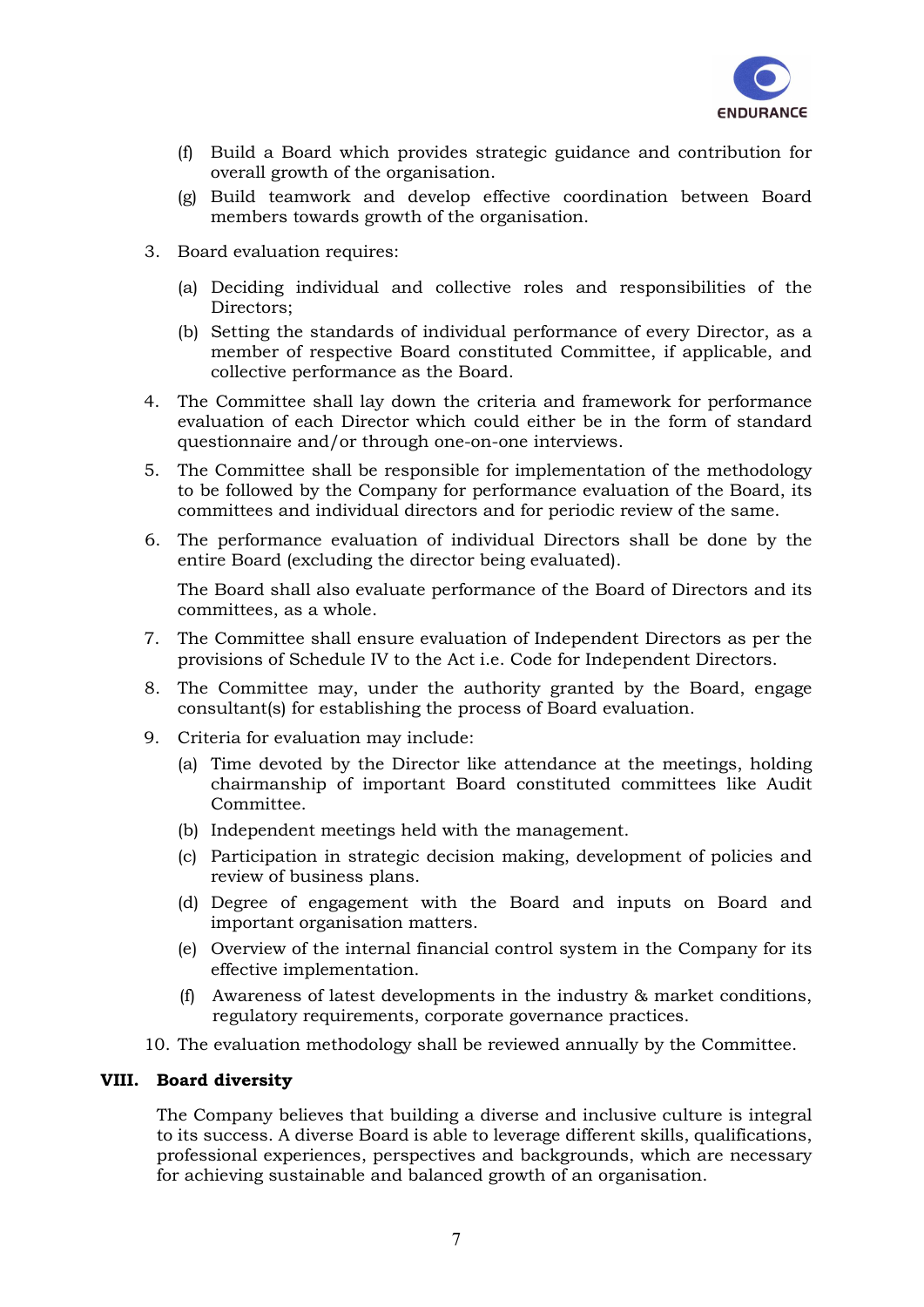

- (f) Build a Board which provides strategic guidance and contribution for overall growth of the organisation.
- (g) Build teamwork and develop effective coordination between Board members towards growth of the organisation.
- 3. Board evaluation requires:
	- (a) Deciding individual and collective roles and responsibilities of the Directors;
	- (b) Setting the standards of individual performance of every Director, as a member of respective Board constituted Committee, if applicable, and collective performance as the Board.
- 4. The Committee shall lay down the criteria and framework for performance evaluation of each Director which could either be in the form of standard questionnaire and/or through one-on-one interviews.
- 5. The Committee shall be responsible for implementation of the methodology to be followed by the Company for performance evaluation of the Board, its committees and individual directors and for periodic review of the same.
- 6. The performance evaluation of individual Directors shall be done by the entire Board (excluding the director being evaluated).

The Board shall also evaluate performance of the Board of Directors and its committees, as a whole.

- 7. The Committee shall ensure evaluation of Independent Directors as per the provisions of Schedule IV to the Act i.e. Code for Independent Directors.
- 8. The Committee may, under the authority granted by the Board, engage consultant(s) for establishing the process of Board evaluation.
- 9. Criteria for evaluation may include:
	- (a) Time devoted by the Director like attendance at the meetings, holding chairmanship of important Board constituted committees like Audit Committee.
	- (b) Independent meetings held with the management.
	- (c) Participation in strategic decision making, development of policies and review of business plans.
	- (d) Degree of engagement with the Board and inputs on Board and important organisation matters.
	- (e) Overview of the internal financial control system in the Company for its effective implementation.
	- (f) Awareness of latest developments in the industry & market conditions, regulatory requirements, corporate governance practices.
- 10. The evaluation methodology shall be reviewed annually by the Committee.

#### VIII. Board diversity

The Company believes that building a diverse and inclusive culture is integral to its success. A diverse Board is able to leverage different skills, qualifications, professional experiences, perspectives and backgrounds, which are necessary for achieving sustainable and balanced growth of an organisation.